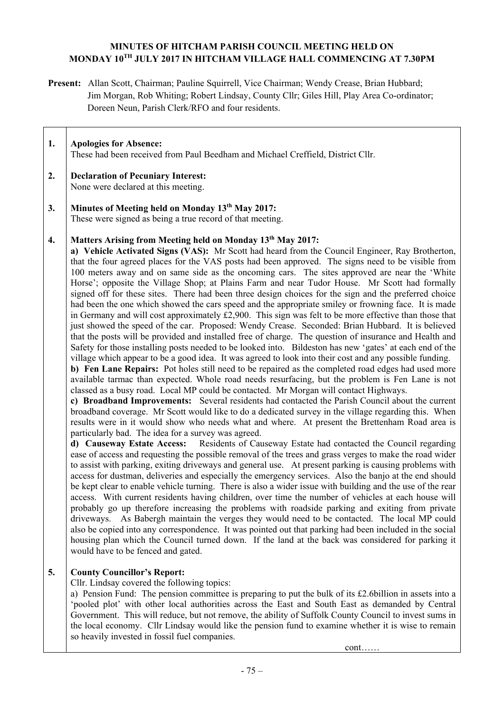# **MINUTES OF HITCHAM PARISH COUNCIL MEETING HELD ON MONDAY 10TH JULY 2017 IN HITCHAM VILLAGE HALL COMMENCING AT 7.30PM**

**Present:** Allan Scott, Chairman; Pauline Squirrell, Vice Chairman; Wendy Crease, Brian Hubbard; Jim Morgan, Rob Whiting; Robert Lindsay, County Cllr; Giles Hill, Play Area Co-ordinator; Doreen Neun, Parish Clerk/RFO and four residents.

| 1. | <b>Apologies for Absence:</b><br>These had been received from Paul Beedham and Michael Creffield, District Cllr.                                                                                                                                                                                                                 |
|----|----------------------------------------------------------------------------------------------------------------------------------------------------------------------------------------------------------------------------------------------------------------------------------------------------------------------------------|
| 2. | <b>Declaration of Pecuniary Interest:</b><br>None were declared at this meeting.                                                                                                                                                                                                                                                 |
| 3. | Minutes of Meeting held on Monday 13th May 2017:<br>These were signed as being a true record of that meeting.                                                                                                                                                                                                                    |
| 4. | Matters Arising from Meeting held on Monday 13 <sup>th</sup> May 2017:<br>a) Vehicle Activated Signs (VAS): Mr Scott had heard from the Council Engineer,<br>that the four agreed places for the VAS posts had been approved. The signs need to<br>100 meters away and on same side as the oncoming cars. The sites approved are |

be visible from near the 'White Horse'; opposite the Village Shop; at Plains Farm and near Tudor House. Mr Scott had formally signed off for these sites. There had been three design choices for the sign and the preferred choice had been the one which showed the cars speed and the appropriate smiley or frowning face. It is made in Germany and will cost approximately £2,900. This sign was felt to be more effective than those that just showed the speed of the car. Proposed: Wendy Crease. Seconded: Brian Hubbard. It is believed that the posts will be provided and installed free of charge. The question of insurance and Health and Safety for those installing posts needed to be looked into. Bildeston has new 'gates' at each end of the village which appear to be a good idea. It was agreed to look into their cost and any possible funding.

**b) Fen Lane Repairs:** Pot holes still need to be repaired as the completed road edges had used more available tarmac than expected. Whole road needs resurfacing, but the problem is Fen Lane is not classed as a busy road. Local MP could be contacted. Mr Morgan will contact Highways.

**c) Broadband Improvements:** Several residents had contacted the Parish Council about the current broadband coverage. Mr Scott would like to do a dedicated survey in the village regarding this. When results were in it would show who needs what and where. At present the Brettenham Road area is particularly bad. The idea for a survey was agreed.

**d) Causeway Estate Access:** Residents of Causeway Estate had contacted the Council regarding ease of access and requesting the possible removal of the trees and grass verges to make the road wider to assist with parking, exiting driveways and general use. At present parking is causing problems with access for dustman, deliveries and especially the emergency services. Also the banjo at the end should be kept clear to enable vehicle turning. There is also a wider issue with building and the use of the rear access. With current residents having children, over time the number of vehicles at each house will probably go up therefore increasing the problems with roadside parking and exiting from private driveways. As Babergh maintain the verges they would need to be contacted. The local MP could also be copied into any correspondence. It was pointed out that parking had been included in the social housing plan which the Council turned down. If the land at the back was considered for parking it would have to be fenced and gated.

## **5. County Councillor's Report:**

Cllr. Lindsay covered the following topics:

a) Pension Fund: The pension committee is preparing to put the bulk of its £2.6billion in assets into a 'pooled plot' with other local authorities across the East and South East as demanded by Central Government. This will reduce, but not remove, the ability of Suffolk County Council to invest sums in the local economy. Cllr Lindsay would like the pension fund to examine whether it is wise to remain so heavily invested in fossil fuel companies.

cont……

Ray Brotherton,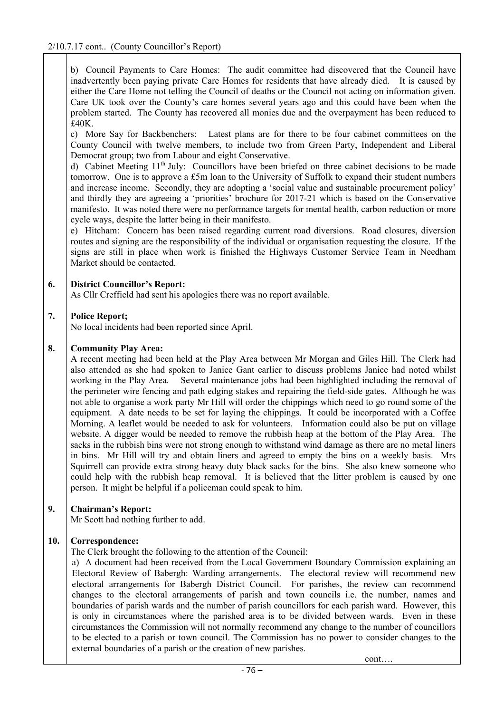b) Council Payments to Care Homes: The audit committee had discovered that the Council have inadvertently been paying private Care Homes for residents that have already died. It is caused by either the Care Home not telling the Council of deaths or the Council not acting on information given. Care UK took over the County's care homes several years ago and this could have been when the problem started. The County has recovered all monies due and the overpayment has been reduced to £40K.

c) More Say for Backbenchers: Latest plans are for there to be four cabinet committees on the County Council with twelve members, to include two from Green Party, Independent and Liberal Democrat group; two from Labour and eight Conservative.

d) Cabinet Meeting 11th July: Councillors have been briefed on three cabinet decisions to be made tomorrow. One is to approve a £5m loan to the University of Suffolk to expand their student numbers and increase income. Secondly, they are adopting a 'social value and sustainable procurement policy' and thirdly they are agreeing a 'priorities' brochure for 2017-21 which is based on the Conservative manifesto. It was noted there were no performance targets for mental health, carbon reduction or more cycle ways, despite the latter being in their manifesto.

e) Hitcham: Concern has been raised regarding current road diversions. Road closures, diversion routes and signing are the responsibility of the individual or organisation requesting the closure. If the signs are still in place when work is finished the Highways Customer Service Team in Needham Market should be contacted.

### **6. District Councillor's Report:**

As Cllr Creffield had sent his apologies there was no report available.

### **7. Police Report;**

No local incidents had been reported since April.

#### **8. Community Play Area:**

A recent meeting had been held at the Play Area between Mr Morgan and Giles Hill. The Clerk had also attended as she had spoken to Janice Gant earlier to discuss problems Janice had noted whilst working in the Play Area. Several maintenance jobs had been highlighted including the removal of the perimeter wire fencing and path edging stakes and repairing the field-side gates. Although he was not able to organise a work party Mr Hill will order the chippings which need to go round some of the equipment. A date needs to be set for laying the chippings. It could be incorporated with a Coffee Morning. A leaflet would be needed to ask for volunteers. Information could also be put on village website. A digger would be needed to remove the rubbish heap at the bottom of the Play Area. The sacks in the rubbish bins were not strong enough to withstand wind damage as there are no metal liners in bins. Mr Hill will try and obtain liners and agreed to empty the bins on a weekly basis. Mrs Squirrell can provide extra strong heavy duty black sacks for the bins. She also knew someone who could help with the rubbish heap removal. It is believed that the litter problem is caused by one person. It might be helpful if a policeman could speak to him.

## **9. Chairman's Report:**

Mr Scott had nothing further to add.

## **10. Correspondence:**

The Clerk brought the following to the attention of the Council:

a) A document had been received from the Local Government Boundary Commission explaining an Electoral Review of Babergh: Warding arrangements. The electoral review will recommend new electoral arrangements for Babergh District Council. For parishes, the review can recommend changes to the electoral arrangements of parish and town councils i.e. the number, names and boundaries of parish wards and the number of parish councillors for each parish ward. However, this is only in circumstances where the parished area is to be divided between wards. Even in these circumstances the Commission will not normally recommend any change to the number of councillors to be elected to a parish or town council. The Commission has no power to consider changes to the external boundaries of a parish or the creation of new parishes.

cont….